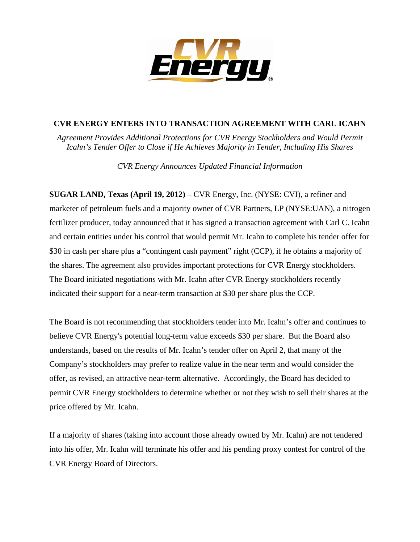

## **CVR ENERGY ENTERS INTO TRANSACTION AGREEMENT WITH CARL ICAHN**

*Agreement Provides Additional Protections for CVR Energy Stockholders and Would Permit Icahn's Tender Offer to Close if He Achieves Majority in Tender, Including His Shares* 

*CVR Energy Announces Updated Financial Information* 

**SUGAR LAND, Texas (April 19, 2012)** – CVR Energy, Inc. (NYSE: CVI), a refiner and marketer of petroleum fuels and a majority owner of CVR Partners, LP (NYSE:UAN), a nitrogen fertilizer producer, today announced that it has signed a transaction agreement with Carl C. Icahn and certain entities under his control that would permit Mr. Icahn to complete his tender offer for \$30 in cash per share plus a "contingent cash payment" right (CCP), if he obtains a majority of the shares. The agreement also provides important protections for CVR Energy stockholders. The Board initiated negotiations with Mr. Icahn after CVR Energy stockholders recently indicated their support for a near-term transaction at \$30 per share plus the CCP.

The Board is not recommending that stockholders tender into Mr. Icahn's offer and continues to believe CVR Energy's potential long-term value exceeds \$30 per share. But the Board also understands, based on the results of Mr. Icahn's tender offer on April 2, that many of the Company's stockholders may prefer to realize value in the near term and would consider the offer, as revised, an attractive near-term alternative. Accordingly, the Board has decided to permit CVR Energy stockholders to determine whether or not they wish to sell their shares at the price offered by Mr. Icahn.

If a majority of shares (taking into account those already owned by Mr. Icahn) are not tendered into his offer, Mr. Icahn will terminate his offer and his pending proxy contest for control of the CVR Energy Board of Directors.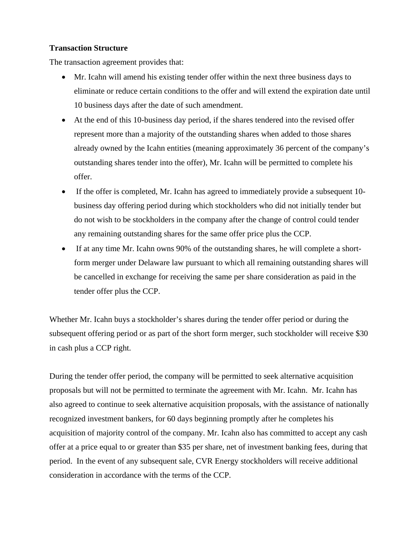## **Transaction Structure**

The transaction agreement provides that:

- Mr. Icahn will amend his existing tender offer within the next three business days to eliminate or reduce certain conditions to the offer and will extend the expiration date until 10 business days after the date of such amendment.
- At the end of this 10-business day period, if the shares tendered into the revised offer represent more than a majority of the outstanding shares when added to those shares already owned by the Icahn entities (meaning approximately 36 percent of the company's outstanding shares tender into the offer), Mr. Icahn will be permitted to complete his offer.
- If the offer is completed, Mr. Icahn has agreed to immediately provide a subsequent 10business day offering period during which stockholders who did not initially tender but do not wish to be stockholders in the company after the change of control could tender any remaining outstanding shares for the same offer price plus the CCP.
- If at any time Mr. Icahn owns 90% of the outstanding shares, he will complete a shortform merger under Delaware law pursuant to which all remaining outstanding shares will be cancelled in exchange for receiving the same per share consideration as paid in the tender offer plus the CCP.

Whether Mr. Icahn buys a stockholder's shares during the tender offer period or during the subsequent offering period or as part of the short form merger, such stockholder will receive \$30 in cash plus a CCP right.

During the tender offer period, the company will be permitted to seek alternative acquisition proposals but will not be permitted to terminate the agreement with Mr. Icahn. Mr. Icahn has also agreed to continue to seek alternative acquisition proposals, with the assistance of nationally recognized investment bankers, for 60 days beginning promptly after he completes his acquisition of majority control of the company. Mr. Icahn also has committed to accept any cash offer at a price equal to or greater than \$35 per share, net of investment banking fees, during that period. In the event of any subsequent sale, CVR Energy stockholders will receive additional consideration in accordance with the terms of the CCP.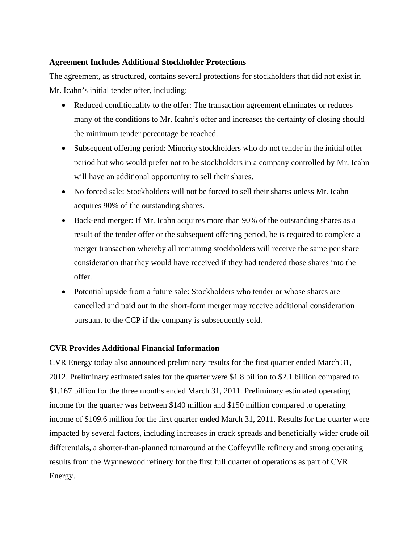## **Agreement Includes Additional Stockholder Protections**

The agreement, as structured, contains several protections for stockholders that did not exist in Mr. Icahn's initial tender offer, including:

- Reduced conditionality to the offer: The transaction agreement eliminates or reduces many of the conditions to Mr. Icahn's offer and increases the certainty of closing should the minimum tender percentage be reached.
- Subsequent offering period: Minority stockholders who do not tender in the initial offer period but who would prefer not to be stockholders in a company controlled by Mr. Icahn will have an additional opportunity to sell their shares.
- No forced sale: Stockholders will not be forced to sell their shares unless Mr. Icahn acquires 90% of the outstanding shares.
- Back-end merger: If Mr. Icahn acquires more than 90% of the outstanding shares as a result of the tender offer or the subsequent offering period, he is required to complete a merger transaction whereby all remaining stockholders will receive the same per share consideration that they would have received if they had tendered those shares into the offer.
- Potential upside from a future sale: Stockholders who tender or whose shares are cancelled and paid out in the short-form merger may receive additional consideration pursuant to the CCP if the company is subsequently sold.

# **CVR Provides Additional Financial Information**

CVR Energy today also announced preliminary results for the first quarter ended March 31, 2012. Preliminary estimated sales for the quarter were \$1.8 billion to \$2.1 billion compared to \$1.167 billion for the three months ended March 31, 2011. Preliminary estimated operating income for the quarter was between \$140 million and \$150 million compared to operating income of \$109.6 million for the first quarter ended March 31, 2011. Results for the quarter were impacted by several factors, including increases in crack spreads and beneficially wider crude oil differentials, a shorter-than-planned turnaround at the Coffeyville refinery and strong operating results from the Wynnewood refinery for the first full quarter of operations as part of CVR Energy.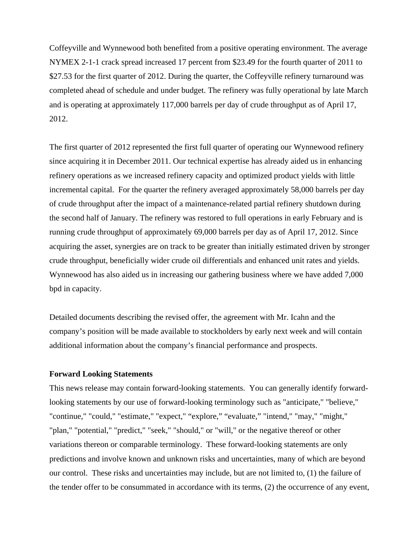Coffeyville and Wynnewood both benefited from a positive operating environment. The average NYMEX 2-1-1 crack spread increased 17 percent from \$23.49 for the fourth quarter of 2011 to \$27.53 for the first quarter of 2012. During the quarter, the Coffeyville refinery turnaround was completed ahead of schedule and under budget. The refinery was fully operational by late March and is operating at approximately 117,000 barrels per day of crude throughput as of April 17, 2012.

The first quarter of 2012 represented the first full quarter of operating our Wynnewood refinery since acquiring it in December 2011. Our technical expertise has already aided us in enhancing refinery operations as we increased refinery capacity and optimized product yields with little incremental capital. For the quarter the refinery averaged approximately 58,000 barrels per day of crude throughput after the impact of a maintenance-related partial refinery shutdown during the second half of January. The refinery was restored to full operations in early February and is running crude throughput of approximately 69,000 barrels per day as of April 17, 2012. Since acquiring the asset, synergies are on track to be greater than initially estimated driven by stronger crude throughput, beneficially wider crude oil differentials and enhanced unit rates and yields. Wynnewood has also aided us in increasing our gathering business where we have added 7,000 bpd in capacity.

Detailed documents describing the revised offer, the agreement with Mr. Icahn and the company's position will be made available to stockholders by early next week and will contain additional information about the company's financial performance and prospects.

#### **Forward Looking Statements**

This news release may contain forward-looking statements. You can generally identify forwardlooking statements by our use of forward-looking terminology such as "anticipate," "believe," "continue," "could," "estimate," "expect," "explore," "evaluate," "intend," "may," "might," "plan," "potential," "predict," "seek," "should," or "will," or the negative thereof or other variations thereon or comparable terminology. These forward-looking statements are only predictions and involve known and unknown risks and uncertainties, many of which are beyond our control. These risks and uncertainties may include, but are not limited to, (1) the failure of the tender offer to be consummated in accordance with its terms, (2) the occurrence of any event,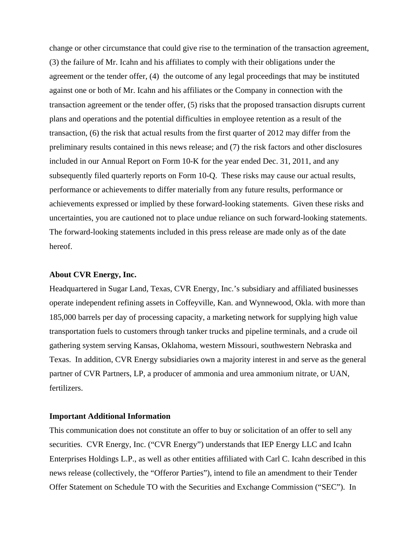change or other circumstance that could give rise to the termination of the transaction agreement, (3) the failure of Mr. Icahn and his affiliates to comply with their obligations under the agreement or the tender offer, (4) the outcome of any legal proceedings that may be instituted against one or both of Mr. Icahn and his affiliates or the Company in connection with the transaction agreement or the tender offer, (5) risks that the proposed transaction disrupts current plans and operations and the potential difficulties in employee retention as a result of the transaction, (6) the risk that actual results from the first quarter of 2012 may differ from the preliminary results contained in this news release; and (7) the risk factors and other disclosures included in our Annual Report on Form 10-K for the year ended Dec. 31, 2011, and any subsequently filed quarterly reports on Form 10-Q. These risks may cause our actual results, performance or achievements to differ materially from any future results, performance or achievements expressed or implied by these forward-looking statements. Given these risks and uncertainties, you are cautioned not to place undue reliance on such forward-looking statements. The forward-looking statements included in this press release are made only as of the date hereof.

#### **About CVR Energy, Inc.**

Headquartered in Sugar Land, Texas, CVR Energy, Inc.'s subsidiary and affiliated businesses operate independent refining assets in Coffeyville, Kan. and Wynnewood, Okla. with more than 185,000 barrels per day of processing capacity, a marketing network for supplying high value transportation fuels to customers through tanker trucks and pipeline terminals, and a crude oil gathering system serving Kansas, Oklahoma, western Missouri, southwestern Nebraska and Texas. In addition, CVR Energy subsidiaries own a majority interest in and serve as the general partner of CVR Partners, LP, a producer of ammonia and urea ammonium nitrate, or UAN, fertilizers.

### **Important Additional Information**

This communication does not constitute an offer to buy or solicitation of an offer to sell any securities. CVR Energy, Inc. ("CVR Energy") understands that IEP Energy LLC and Icahn Enterprises Holdings L.P., as well as other entities affiliated with Carl C. Icahn described in this news release (collectively, the "Offeror Parties"), intend to file an amendment to their Tender Offer Statement on Schedule TO with the Securities and Exchange Commission ("SEC"). In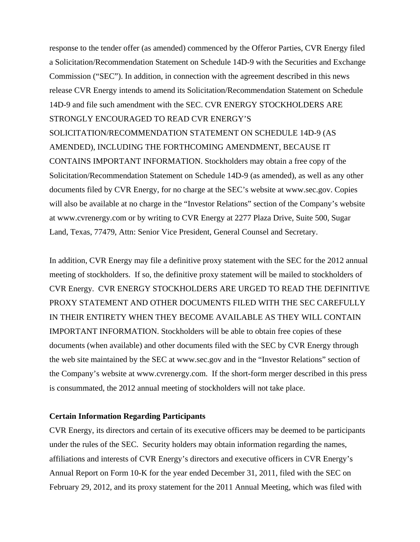response to the tender offer (as amended) commenced by the Offeror Parties, CVR Energy filed a Solicitation/Recommendation Statement on Schedule 14D-9 with the Securities and Exchange Commission ("SEC"). In addition, in connection with the agreement described in this news release CVR Energy intends to amend its Solicitation/Recommendation Statement on Schedule 14D-9 and file such amendment with the SEC. CVR ENERGY STOCKHOLDERS ARE STRONGLY ENCOURAGED TO READ CVR ENERGY'S SOLICITATION/RECOMMENDATION STATEMENT ON SCHEDULE 14D-9 (AS AMENDED), INCLUDING THE FORTHCOMING AMENDMENT, BECAUSE IT CONTAINS IMPORTANT INFORMATION. Stockholders may obtain a free copy of the Solicitation/Recommendation Statement on Schedule 14D-9 (as amended), as well as any other documents filed by CVR Energy, for no charge at the SEC's website at www.sec.gov. Copies will also be available at no charge in the "Investor Relations" section of the Company's website at www.cvrenergy.com or by writing to CVR Energy at 2277 Plaza Drive, Suite 500, Sugar Land, Texas, 77479, Attn: Senior Vice President, General Counsel and Secretary.

In addition, CVR Energy may file a definitive proxy statement with the SEC for the 2012 annual meeting of stockholders. If so, the definitive proxy statement will be mailed to stockholders of CVR Energy. CVR ENERGY STOCKHOLDERS ARE URGED TO READ THE DEFINITIVE PROXY STATEMENT AND OTHER DOCUMENTS FILED WITH THE SEC CAREFULLY IN THEIR ENTIRETY WHEN THEY BECOME AVAILABLE AS THEY WILL CONTAIN IMPORTANT INFORMATION. Stockholders will be able to obtain free copies of these documents (when available) and other documents filed with the SEC by CVR Energy through the web site maintained by the SEC at www.sec.gov and in the "Investor Relations" section of the Company's website at www.cvrenergy.com. If the short-form merger described in this press is consummated, the 2012 annual meeting of stockholders will not take place.

### **Certain Information Regarding Participants**

CVR Energy, its directors and certain of its executive officers may be deemed to be participants under the rules of the SEC. Security holders may obtain information regarding the names, affiliations and interests of CVR Energy's directors and executive officers in CVR Energy's Annual Report on Form 10-K for the year ended December 31, 2011, filed with the SEC on February 29, 2012, and its proxy statement for the 2011 Annual Meeting, which was filed with